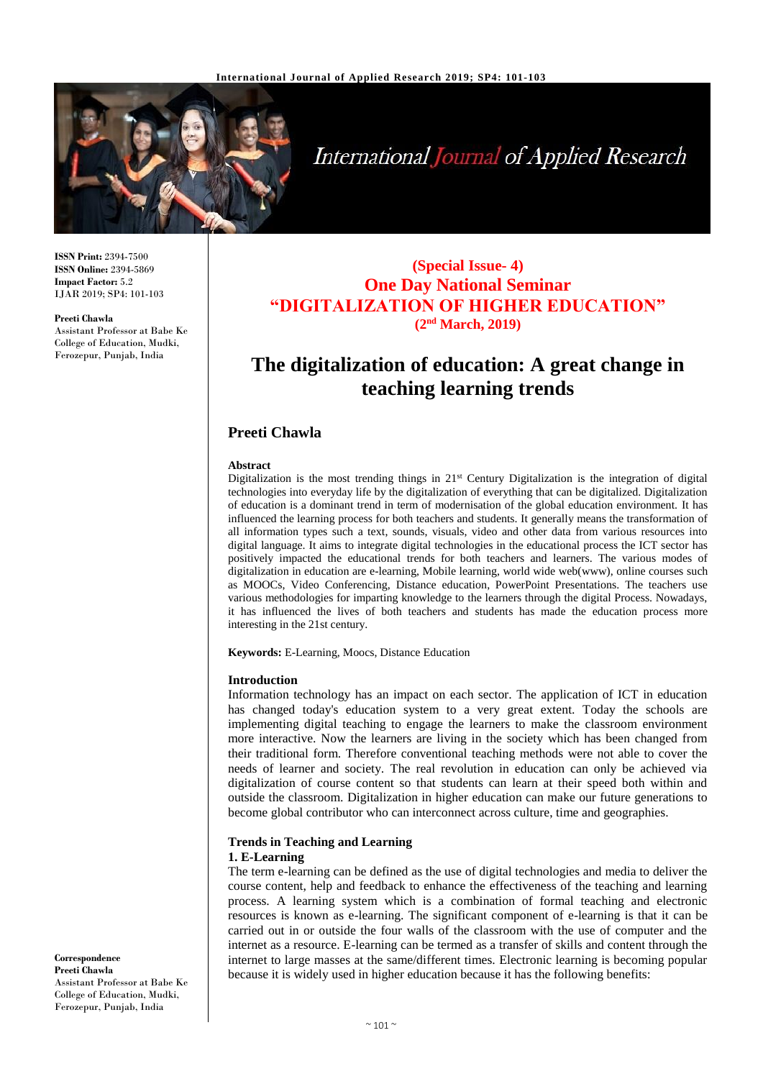

# **International Journal of Applied Research**

**ISSN Print:** 2394-7500 **ISSN Online:** 2394-5869 **Impact Factor:** 5.2 IJAR 2019; SP4: 101-103

#### **Preeti Chawla**

Assistant Professor at Babe Ke College of Education, Mudki, Ferozepur, Punjab, India

### **(Special Issue- 4) One Day National Seminar "DIGITALIZATION OF HIGHER EDUCATION" (2nd March, 2019)**

## **The digitalization of education: A great change in teaching learning trends**

#### **Preeti Chawla**

#### **Abstract**

Digitalization is the most trending things in  $21<sup>st</sup>$  Century Digitalization is the integration of digital technologies into everyday life by the digitalization of everything that can be digitalized. Digitalization of education is a dominant trend in term of modernisation of the global education environment. It has influenced the learning process for both teachers and students. It generally means the transformation of all information types such a text, sounds, visuals, video and other data from various resources into digital language. It aims to integrate digital technologies in the educational process the ICT sector has positively impacted the educational trends for both teachers and learners. The various modes of digitalization in education are e-learning, Mobile learning, world wide web(www), online courses such as MOOCs, Video Conferencing, Distance education, PowerPoint Presentations. The teachers use various methodologies for imparting knowledge to the learners through the digital Process. Nowadays, it has influenced the lives of both teachers and students has made the education process more interesting in the 21st century.

**Keywords:** E-Learning, Moocs, Distance Education

#### **Introduction**

Information technology has an impact on each sector. The application of ICT in education has changed today's education system to a very great extent. Today the schools are implementing digital teaching to engage the learners to make the classroom environment more interactive. Now the learners are living in the society which has been changed from their traditional form. Therefore conventional teaching methods were not able to cover the needs of learner and society. The real revolution in education can only be achieved via digitalization of course content so that students can learn at their speed both within and outside the classroom. Digitalization in higher education can make our future generations to become global contributor who can interconnect across culture, time and geographies.

#### **Trends in Teaching and Learning 1. E-Learning**

The term e-learning can be defined as the use of digital technologies and media to deliver the course content, help and feedback to enhance the effectiveness of the teaching and learning process. A learning system which is a combination of formal teaching and electronic resources is known as e-learning. The significant component of e-learning is that it can be carried out in or outside the four walls of the classroom with the use of computer and the internet as a resource. E-learning can be termed as a transfer of skills and content through the internet to large masses at the same/different times. Electronic learning is becoming popular because it is widely used in higher education because it has the following benefits:

**Correspondence Preeti Chawla** Assistant Professor at Babe Ke College of Education, Mudki, Ferozepur, Punjab, India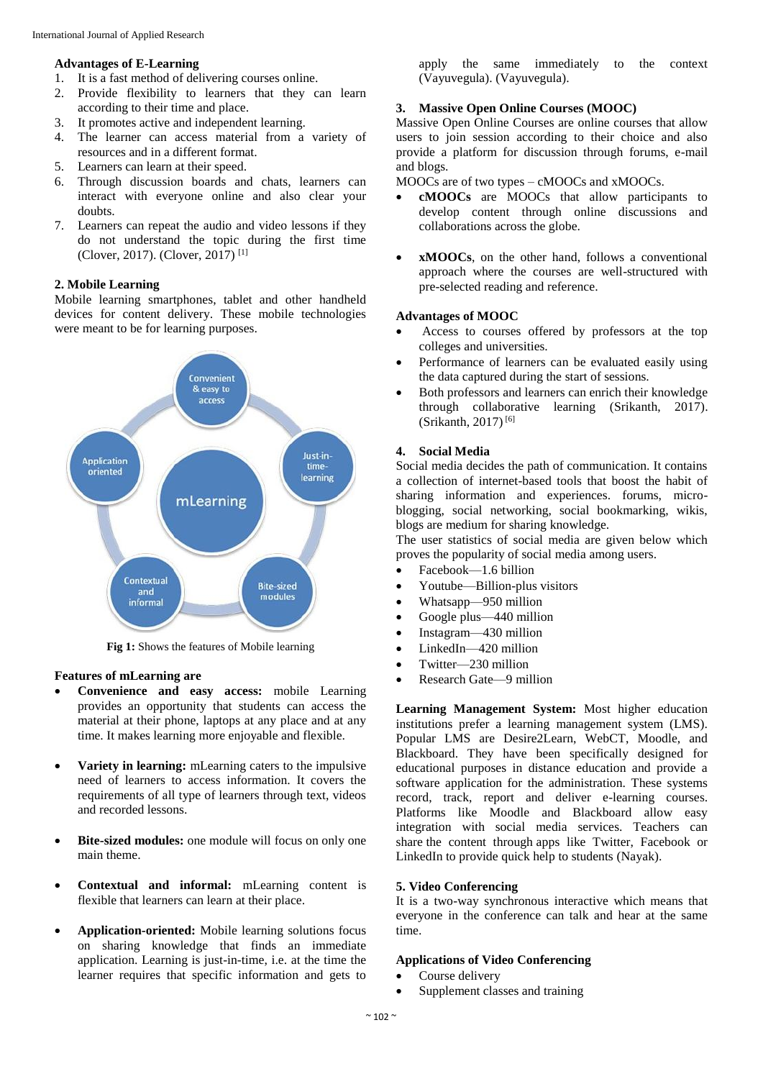#### **Advantages of E-Learning**

- 1. It is a fast method of delivering courses online.
- 2. Provide flexibility to learners that they can learn according to their time and place.
- 3. It promotes active and independent learning.
- 4. The learner can access material from a variety of resources and in a different format.
- 5. Learners can learn at their speed.
- 6. Through discussion boards and chats, learners can interact with everyone online and also clear your doubts.
- 7. Learners can repeat the audio and video lessons if they do not understand the topic during the first time (Clover, 2017). (Clover, 2017) [1]

#### **2. Mobile Learning**

Mobile learning smartphones, tablet and other handheld devices for content delivery. These mobile technologies were meant to be for learning purposes.



**Fig 1:** Shows the features of Mobile learning

#### **Features of mLearning are**

- **Convenience and easy access:** mobile Learning provides an opportunity that students can access the material at their phone, laptops at any place and at any time. It makes learning more enjoyable and flexible.
- **Variety in learning:** mLearning caters to the impulsive need of learners to access information. It covers the requirements of all type of learners through text, videos and recorded lessons.
- Bite-sized modules: one module will focus on only one main theme.
- **Contextual and informal:** mLearning content is flexible that learners can learn at their place.
- **Application-oriented:** Mobile learning solutions focus on sharing knowledge that finds an immediate application. Learning is just-in-time, i.e. at the time the learner requires that specific information and gets to

apply the same immediately to the context (Vayuvegula). (Vayuvegula).

#### **3. Massive Open Online Courses (MOOC)**

Massive Open Online Courses are online courses that allow users to join session according to their choice and also provide a platform for discussion through forums, e-mail and blogs.

MOOCs are of two types – cMOOCs and xMOOCs.

- **cMOOCs** are MOOCs that allow participants to develop content through online discussions and collaborations across the globe.
- **xMOOCs**, on the other hand, follows a conventional approach where the courses are well-structured with pre-selected reading and reference.

#### **Advantages of MOOC**

- Access to courses offered by professors at the top colleges and universities.
- Performance of learners can be evaluated easily using the data captured during the start of sessions.
- Both professors and learners can enrich their knowledge through collaborative learning (Srikanth, 2017). (Srikanth, 2017) [6]

#### **4. Social Media**

Social media decides the path of communication. It contains a collection of internet-based tools that boost the habit of sharing information and experiences. forums, microblogging, social networking, social bookmarking, wikis, blogs are medium for sharing knowledge.

The user statistics of social media are given below which proves the popularity of social media among users.

- Facebook—1.6 billion
- Youtube—Billion-plus visitors
- Whatsapp—950 million
- Google plus—440 million
- Instagram—430 million
- LinkedIn—420 million
- Twitter—230 million
- Research Gate—9 million

**Learning Management System:** Most higher education institutions prefer a learning management system (LMS). Popular LMS are Desire2Learn, WebCT, Moodle, and Blackboard. They have been specifically designed for educational purposes in distance education and provide a software application for the administration. These systems record, track, report and deliver e-learning courses. Platforms like Moodle and Blackboard allow easy integration with social media services. Teachers can share the content through apps like Twitter, Facebook or LinkedIn to provide quick help to students (Nayak).

#### **5. Video Conferencing**

It is a two-way synchronous interactive which means that everyone in the conference can talk and hear at the same time.

#### **Applications of Video Conferencing**

- Course delivery
- Supplement classes and training